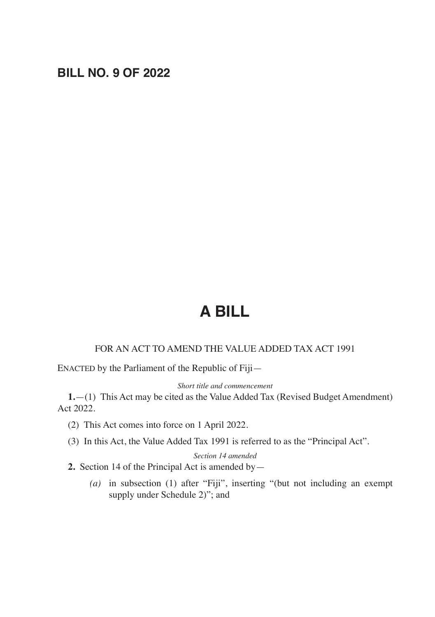# **BILL NO. 9 OF 2022**

# **A BILL**

### FOR AN ACT TO AMEND THE VALUE ADDED TAX ACT 1991

ENACTED by the Parliament of the Republic of Fiji—

*Short title and commencement*

**1.**—(1) This Act may be cited as the Value Added Tax (Revised Budget Amendment) Act 2022.

- (2) This Act comes into force on 1 April 2022.
- (3) In this Act, the Value Added Tax 1991 is referred to as the "Principal Act".

*Section 14 amended*

- **2.** Section 14 of the Principal Act is amended by—
	- *(a)* in subsection (1) after "Fiji", inserting "(but not including an exempt supply under Schedule 2)"; and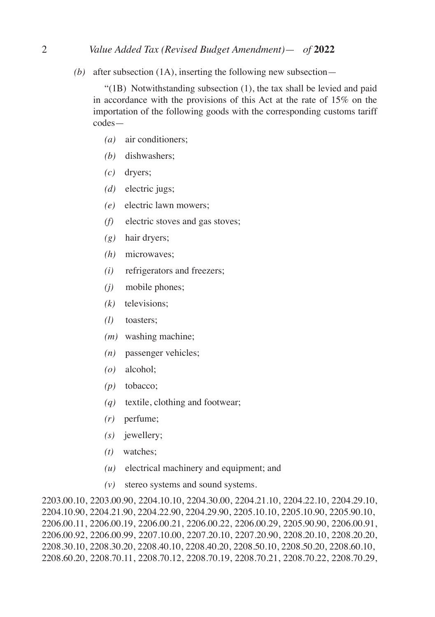#### 2 *Value Added Tax (Revised Budget Amendment)*— *of* **2022**

*(b)* after subsection (1A), inserting the following new subsection—

 "(1B) Notwithstanding subsection (1), the tax shall be levied and paid in accordance with the provisions of this Act at the rate of 15% on the importation of the following goods with the corresponding customs tariff codes—

- *(a)* air conditioners;
- *(b)* dishwashers;
- *(c)* dryers;
- *(d)* electric jugs;
- *(e)* electric lawn mowers;
- *(f)* electric stoves and gas stoves;
- *(g)* hair dryers;
- *(h)* microwaves;
- *(i)* refrigerators and freezers;
- *(j)* mobile phones;
- *(k)* televisions;
- *(l)* toasters;
- *(m)* washing machine;
- *(n)* passenger vehicles;
- *(o)* alcohol;
- *(p)* tobacco;
- *(q)* textile, clothing and footwear;
- *(r)* perfume;
- *(s)* jewellery;
- *(t)* watches;
- *(u)* electrical machinery and equipment; and
- *(v)* stereo systems and sound systems.

2203.00.10, 2203.00.90, 2204.10.10, 2204.30.00, 2204.21.10, 2204.22.10, 2204.29.10, 2204.10.90, 2204.21.90, 2204.22.90, 2204.29.90, 2205.10.10, 2205.10.90, 2205.90.10, 2206.00.11, 2206.00.19, 2206.00.21, 2206.00.22, 2206.00.29, 2205.90.90, 2206.00.91, 2206.00.92, 2206.00.99, 2207.10.00, 2207.20.10, 2207.20.90, 2208.20.10, 2208.20.20, 2208.30.10, 2208.30.20, 2208.40.10, 2208.40.20, 2208.50.10, 2208.50.20, 2208.60.10, 2208.60.20, 2208.70.11, 2208.70.12, 2208.70.19, 2208.70.21, 2208.70.22, 2208.70.29,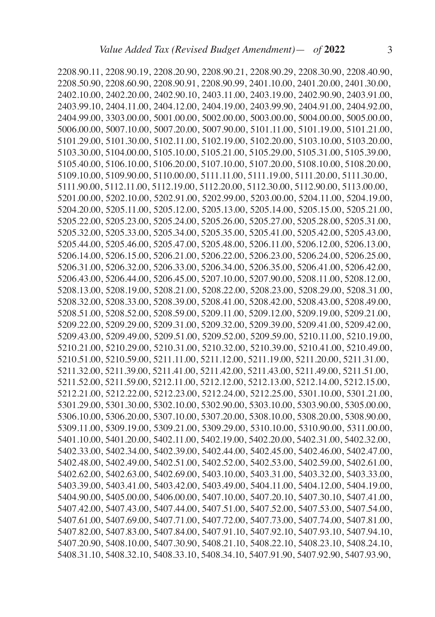2208.90.11, 2208.90.19, 2208.20.90, 2208.90.21, 2208.90.29, 2208.30.90, 2208.40.90, 2208.50.90, 2208.60.90, 2208.90.91, 2208.90.99, 2401.10.00, 2401.20.00, 2401.30.00, 2402.10.00, 2402.20.00, 2402.90.10, 2403.11.00, 2403.19.00, 2402.90.90, 2403.91.00, 2403.99.10, 2404.11.00, 2404.12.00, 2404.19.00, 2403.99.90, 2404.91.00, 2404.92.00, 2404.99.00, 3303.00.00, 5001.00.00, 5002.00.00, 5003.00.00, 5004.00.00, 5005.00.00, 5006.00.00, 5007.10.00, 5007.20.00, 5007.90.00, 5101.11.00, 5101.19.00, 5101.21.00, 5101.29.00, 5101.30.00, 5102.11.00, 5102.19.00, 5102.20.00, 5103.10.00, 5103.20.00, 5103.30.00, 5104.00.00, 5105.10.00, 5105.21.00, 5105.29.00, 5105.31.00, 5105.39.00, 5105.40.00, 5106.10.00, 5106.20.00, 5107.10.00, 5107.20.00, 5108.10.00, 5108.20.00, 5109.10.00, 5109.90.00, 5110.00.00, 5111.11.00, 5111.19.00, 5111.20.00, 5111.30.00, 5111.90.00, 5112.11.00, 5112.19.00, 5112.20.00, 5112.30.00, 5112.90.00, 5113.00.00, 5201.00.00, 5202.10.00, 5202.91.00, 5202.99.00, 5203.00.00, 5204.11.00, 5204.19.00, 5204.20.00, 5205.11.00, 5205.12.00, 5205.13.00, 5205.14.00, 5205.15.00, 5205.21.00, 5205.22.00, 5205.23.00, 5205.24.00, 5205.26.00, 5205.27.00, 5205.28.00, 5205.31.00, 5205.32.00, 5205.33.00, 5205.34.00, 5205.35.00, 5205.41.00, 5205.42.00, 5205.43.00, 5205.44.00, 5205.46.00, 5205.47.00, 5205.48.00, 5206.11.00, 5206.12.00, 5206.13.00, 5206.14.00, 5206.15.00, 5206.21.00, 5206.22.00, 5206.23.00, 5206.24.00, 5206.25.00, 5206.31.00, 5206.32.00, 5206.33.00, 5206.34.00, 5206.35.00, 5206.41.00, 5206.42.00, 5206.43.00, 5206.44.00, 5206.45.00, 5207.10.00, 5207.90.00, 5208.11.00, 5208.12.00, 5208.13.00, 5208.19.00, 5208.21.00, 5208.22.00, 5208.23.00, 5208.29.00, 5208.31.00, 5208.32.00, 5208.33.00, 5208.39.00, 5208.41.00, 5208.42.00, 5208.43.00, 5208.49.00, 5208.51.00, 5208.52.00, 5208.59.00, 5209.11.00, 5209.12.00, 5209.19.00, 5209.21.00, 5209.22.00, 5209.29.00, 5209.31.00, 5209.32.00, 5209.39.00, 5209.41.00, 5209.42.00, 5209.43.00, 5209.49.00, 5209.51.00, 5209.52.00, 5209.59.00, 5210.11.00, 5210.19.00, 5210.21.00, 5210.29.00, 5210.31.00, 5210.32.00, 5210.39.00, 5210.41.00, 5210.49.00, 5210.51.00, 5210.59.00, 5211.11.00, 5211.12.00, 5211.19.00, 5211.20.00, 5211.31.00, 5211.32.00, 5211.39.00, 5211.41.00, 5211.42.00, 5211.43.00, 5211.49.00, 5211.51.00, 5211.52.00, 5211.59.00, 5212.11.00, 5212.12.00, 5212.13.00, 5212.14.00, 5212.15.00, 5212.21.00, 5212.22.00, 5212.23.00, 5212.24.00, 5212.25.00, 5301.10.00, 5301.21.00, 5301.29.00, 5301.30.00, 5302.10.00, 5302.90.00, 5303.10.00, 5303.90.00, 5305.00.00, 5306.10.00, 5306.20.00, 5307.10.00, 5307.20.00, 5308.10.00, 5308.20.00, 5308.90.00, 5309.11.00, 5309.19.00, 5309.21.00, 5309.29.00, 5310.10.00, 5310.90.00, 5311.00.00, 5401.10.00, 5401.20.00, 5402.11.00, 5402.19.00, 5402.20.00, 5402.31.00, 5402.32.00, 5402.33.00, 5402.34.00, 5402.39.00, 5402.44.00, 5402.45.00, 5402.46.00, 5402.47.00, 5402.48.00, 5402.49.00, 5402.51.00, 5402.52.00, 5402.53.00, 5402.59.00, 5402.61.00, 5402.62.00, 5402.63.00, 5402.69.00, 5403.10.00, 5403.31.00, 5403.32.00, 5403.33.00, 5403.39.00, 5403.41.00, 5403.42.00, 5403.49.00, 5404.11.00, 5404.12.00, 5404.19.00, 5404.90.00, 5405.00.00, 5406.00.00, 5407.10.00, 5407.20.10, 5407.30.10, 5407.41.00, 5407.42.00, 5407.43.00, 5407.44.00, 5407.51.00, 5407.52.00, 5407.53.00, 5407.54.00, 5407.61.00, 5407.69.00, 5407.71.00, 5407.72.00, 5407.73.00, 5407.74.00, 5407.81.00, 5407.82.00, 5407.83.00, 5407.84.00, 5407.91.10, 5407.92.10, 5407.93.10, 5407.94.10, 5407.20.90, 5408.10.00, 5407.30.90, 5408.21.10, 5408.22.10, 5408.23.10, 5408.24.10, 5408.31.10, 5408.32.10, 5408.33.10, 5408.34.10, 5407.91.90, 5407.92.90, 5407.93.90,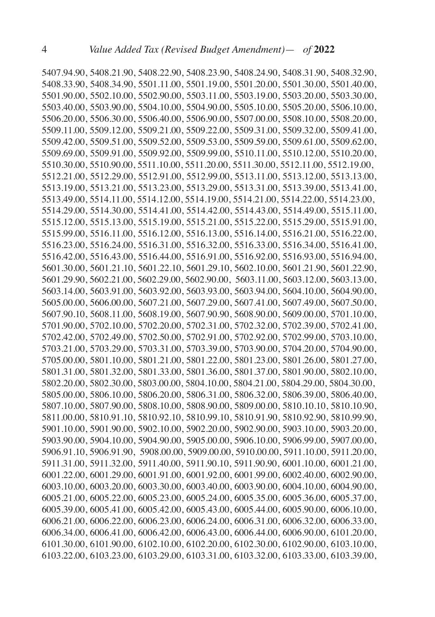5407.94.90, 5408.21.90, 5408.22.90, 5408.23.90, 5408.24.90, 5408.31.90, 5408.32.90, 5408.33.90, 5408.34.90, 5501.11.00, 5501.19.00, 5501.20.00, 5501.30.00, 5501.40.00, 5501.90.00, 5502.10.00, 5502.90.00, 5503.11.00, 5503.19.00, 5503.20.00, 5503.30.00, 5503.40.00, 5503.90.00, 5504.10.00, 5504.90.00, 5505.10.00, 5505.20.00, 5506.10.00, 5506.20.00, 5506.30.00, 5506.40.00, 5506.90.00, 5507.00.00, 5508.10.00, 5508.20.00, 5509.11.00, 5509.12.00, 5509.21.00, 5509.22.00, 5509.31.00, 5509.32.00, 5509.41.00, 5509.42.00, 5509.51.00, 5509.52.00, 5509.53.00, 5509.59.00, 5509.61.00, 5509.62.00, 5509.69.00, 5509.91.00, 5509.92.00, 5509.99.00, 5510.11.00, 5510.12.00, 5510.20.00, 5510.30.00, 5510.90.00, 5511.10.00, 5511.20.00, 5511.30.00, 5512.11.00, 5512.19.00, 5512.21.00, 5512.29.00, 5512.91.00, 5512.99.00, 5513.11.00, 5513.12.00, 5513.13.00, 5513.19.00, 5513.21.00, 5513.23.00, 5513.29.00, 5513.31.00, 5513.39.00, 5513.41.00, 5513.49.00, 5514.11.00, 5514.12.00, 5514.19.00, 5514.21.00, 5514.22.00, 5514.23.00, 5514.29.00, 5514.30.00, 5514.41.00, 5514.42.00, 5514.43.00, 5514.49.00, 5515.11.00, 5515.12.00, 5515.13.00, 5515.19.00, 5515.21.00, 5515.22.00, 5515.29.00, 5515.91.00, 5515.99.00, 5516.11.00, 5516.12.00, 5516.13.00, 5516.14.00, 5516.21.00, 5516.22.00, 5516.23.00, 5516.24.00, 5516.31.00, 5516.32.00, 5516.33.00, 5516.34.00, 5516.41.00, 5516.42.00, 5516.43.00, 5516.44.00, 5516.91.00, 5516.92.00, 5516.93.00, 5516.94.00, 5601.30.00, 5601.21.10, 5601.22.10, 5601.29.10, 5602.10.00, 5601.21.90, 5601.22.90, 5601.29.90, 5602.21.00, 5602.29.00, 5602.90.00, 5603.11.00, 5603.12.00, 5603.13.00, 5603.14.00, 5603.91.00, 5603.92.00, 5603.93.00, 5603.94.00, 5604.10.00, 5604.90.00, 5605.00.00, 5606.00.00, 5607.21.00, 5607.29.00, 5607.41.00, 5607.49.00, 5607.50.00, 5607.90.10, 5608.11.00, 5608.19.00, 5607.90.90, 5608.90.00, 5609.00.00, 5701.10.00, 5701.90.00, 5702.10.00, 5702.20.00, 5702.31.00, 5702.32.00, 5702.39.00, 5702.41.00, 5702.42.00, 5702.49.00, 5702.50.00, 5702.91.00, 5702.92.00, 5702.99.00, 5703.10.00, 5703.21.00, 5703.29.00, 5703.31.00, 5703.39.00, 5703.90.00, 5704.20.00, 5704.90.00, 5705.00.00, 5801.10.00, 5801.21.00, 5801.22.00, 5801.23.00, 5801.26.00, 5801.27.00, 5801.31.00, 5801.32.00, 5801.33.00, 5801.36.00, 5801.37.00, 5801.90.00, 5802.10.00, 5802.20.00, 5802.30.00, 5803.00.00, 5804.10.00, 5804.21.00, 5804.29.00, 5804.30.00, 5805.00.00, 5806.10.00, 5806.20.00, 5806.31.00, 5806.32.00, 5806.39.00, 5806.40.00, 5807.10.00, 5807.90.00, 5808.10.00, 5808.90.00, 5809.00.00, 5810.10.10, 5810.10.90, 5811.00.00, 5810.91.10, 5810.92.10, 5810.99.10, 5810.91.90, 5810.92.90, 5810.99.90, 5901.10.00, 5901.90.00, 5902.10.00, 5902.20.00, 5902.90.00, 5903.10.00, 5903.20.00, 5903.90.00, 5904.10.00, 5904.90.00, 5905.00.00, 5906.10.00, 5906.99.00, 5907.00.00, 5906.91.10, 5906.91.90, 5908.00.00, 5909.00.00, 5910.00.00, 5911.10.00, 5911.20.00, 5911.31.00, 5911.32.00, 5911.40.00, 5911.90.10, 5911.90.90, 6001.10.00, 6001.21.00, 6001.22.00, 6001.29.00, 6001.91.00, 6001.92.00, 6001.99.00, 6002.40.00, 6002.90.00, 6003.10.00, 6003.20.00, 6003.30.00, 6003.40.00, 6003.90.00, 6004.10.00, 6004.90.00, 6005.21.00, 6005.22.00, 6005.23.00, 6005.24.00, 6005.35.00, 6005.36.00, 6005.37.00, 6005.39.00, 6005.41.00, 6005.42.00, 6005.43.00, 6005.44.00, 6005.90.00, 6006.10.00, 6006.21.00, 6006.22.00, 6006.23.00, 6006.24.00, 6006.31.00, 6006.32.00, 6006.33.00, 6006.34.00, 6006.41.00, 6006.42.00, 6006.43.00, 6006.44.00, 6006.90.00, 6101.20.00, 6101.30.00, 6101.90.00, 6102.10.00, 6102.20.00, 6102.30.00, 6102.90.00, 6103.10.00, 6103.22.00, 6103.23.00, 6103.29.00, 6103.31.00, 6103.32.00, 6103.33.00, 6103.39.00,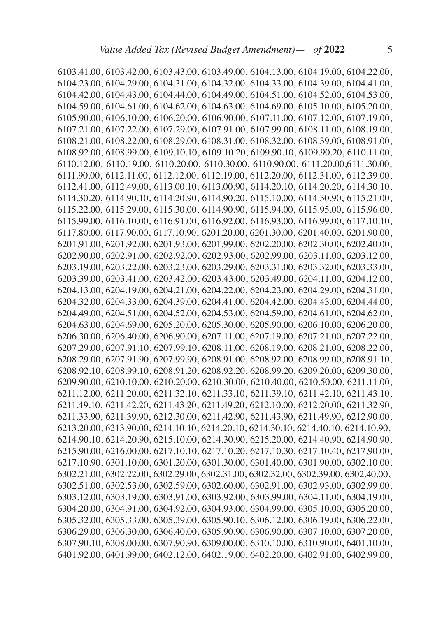6103.41.00, 6103.42.00, 6103.43.00, 6103.49.00, 6104.13.00, 6104.19.00, 6104.22.00, 6104.23.00, 6104.29.00, 6104.31.00, 6104.32.00, 6104.33.00, 6104.39.00, 6104.41.00, 6104.42.00, 6104.43.00, 6104.44.00, 6104.49.00, 6104.51.00, 6104.52.00, 6104.53.00, 6104.59.00, 6104.61.00, 6104.62.00, 6104.63.00, 6104.69.00, 6105.10.00, 6105.20.00, 6105.90.00, 6106.10.00, 6106.20.00, 6106.90.00, 6107.11.00, 6107.12.00, 6107.19.00, 6107.21.00, 6107.22.00, 6107.29.00, 6107.91.00, 6107.99.00, 6108.11.00, 6108.19.00, 6108.21.00, 6108.22.00, 6108.29.00, 6108.31.00, 6108.32.00, 6108.39.00, 6108.91.00, 6108.92.00, 6108.99.00, 6109.10.10, 6109.10.20, 6109.90.10, 6109.90.20, 6110.11.00, 6110.12.00, 6110.19.00, 6110.20.00, 6110.30.00, 6110.90.00, 6111.20.00,6111.30.00, 6111.90.00, 6112.11.00, 6112.12.00, 6112.19.00, 6112.20.00, 6112.31.00, 6112.39.00, 6112.41.00, 6112.49.00, 6113.00.10, 6113.00.90, 6114.20.10, 6114.20.20, 6114.30.10, 6114.30.20, 6114.90.10, 6114.20.90, 6114.90.20, 6115.10.00, 6114.30.90, 6115.21.00, 6115.22.00, 6115.29.00, 6115.30.00, 6114.90.90, 6115.94.00, 6115.95.00, 6115.96.00, 6115.99.00, 6116.10.00, 6116.91.00, 6116.92.00, 6116.93.00, 6116.99.00, 6117.10.10, 6117.80.00, 6117.90.00, 6117.10.90, 6201.20.00, 6201.30.00, 6201.40.00, 6201.90.00, 6201.91.00, 6201.92.00, 6201.93.00, 6201.99.00, 6202.20.00, 6202.30.00, 6202.40.00, 6202.90.00, 6202.91.00, 6202.92.00, 6202.93.00, 6202.99.00, 6203.11.00, 6203.12.00, 6203.19.00, 6203.22.00, 6203.23.00, 6203.29.00, 6203.31.00, 6203.32.00, 6203.33.00, 6203.39.00, 6203.41.00, 6203.42.00, 6203.43.00, 6203.49.00, 6204.11.00, 6204.12.00, 6204.13.00, 6204.19.00, 6204.21.00, 6204.22.00, 6204.23.00, 6204.29.00, 6204.31.00, 6204.32.00, 6204.33.00, 6204.39.00, 6204.41.00, 6204.42.00, 6204.43.00, 6204.44.00, 6204.49.00, 6204.51.00, 6204.52.00, 6204.53.00, 6204.59.00, 6204.61.00, 6204.62.00, 6204.63.00, 6204.69.00, 6205.20.00, 6205.30.00, 6205.90.00, 6206.10.00, 6206.20.00, 6206.30.00, 6206.40.00, 6206.90.00, 6207.11.00, 6207.19.00, 6207.21.00, 6207.22.00, 6207.29.00, 6207.91.10, 6207.99.10, 6208.11.00, 6208.19.00, 6208.21.00, 6208.22.00, 6208.29.00, 6207.91.90, 6207.99.90, 6208.91.00, 6208.92.00, 6208.99.00, 6208.91.10, 6208.92.10, 6208.99.10, 6208.91.20, 6208.92.20, 6208.99.20, 6209.20.00, 6209.30.00, 6209.90.00, 6210.10.00, 6210.20.00, 6210.30.00, 6210.40.00, 6210.50.00, 6211.11.00, 6211.12.00, 6211.20.00, 6211.32.10, 6211.33.10, 6211.39.10, 6211.42.10, 6211.43.10, 6211.49.10, 6211.42.20, 6211.43.20, 6211.49.20, 6212.10.00, 6212.20.00, 6211.32.90, 6211.33.90, 6211.39.90, 6212.30.00, 6211.42.90, 6211.43.90, 6211.49.90, 6212.90.00, 6213.20.00, 6213.90.00, 6214.10.10, 6214.20.10, 6214.30.10, 6214.40.10, 6214.10.90, 6214.90.10, 6214.20.90, 6215.10.00, 6214.30.90, 6215.20.00, 6214.40.90, 6214.90.90, 6215.90.00, 6216.00.00, 6217.10.10, 6217.10.20, 6217.10.30, 6217.10.40, 6217.90.00, 6217.10.90, 6301.10.00, 6301.20.00, 6301.30.00, 6301.40.00, 6301.90.00, 6302.10.00, 6302.21.00, 6302.22.00, 6302.29.00, 6302.31.00, 6302.32.00, 6302.39.00, 6302.40.00, 6302.51.00, 6302.53.00, 6302.59.00, 6302.60.00, 6302.91.00, 6302.93.00, 6302.99.00, 6303.12.00, 6303.19.00, 6303.91.00, 6303.92.00, 6303.99.00, 6304.11.00, 6304.19.00, 6304.20.00, 6304.91.00, 6304.92.00, 6304.93.00, 6304.99.00, 6305.10.00, 6305.20.00, 6305.32.00, 6305.33.00, 6305.39.00, 6305.90.10, 6306.12.00, 6306.19.00, 6306.22.00, 6306.29.00, 6306.30.00, 6306.40.00, 6305.90.90, 6306.90.00, 6307.10.00, 6307.20.00, 6307.90.10, 6308.00.00, 6307.90.90, 6309.00.00, 6310.10.00, 6310.90.00, 6401.10.00, 6401.92.00, 6401.99.00, 6402.12.00, 6402.19.00, 6402.20.00, 6402.91.00, 6402.99.00,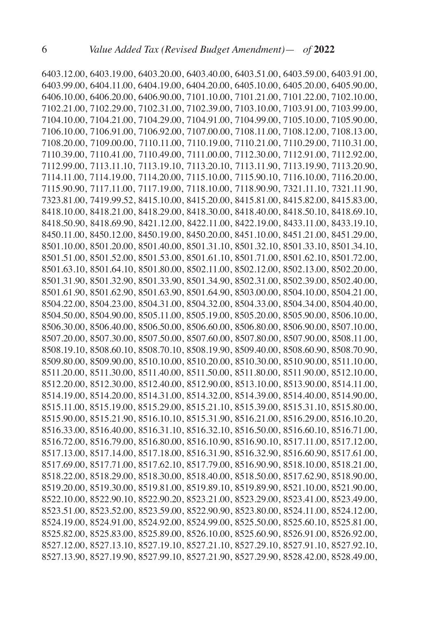6403.12.00, 6403.19.00, 6403.20.00, 6403.40.00, 6403.51.00, 6403.59.00, 6403.91.00, 6403.99.00, 6404.11.00, 6404.19.00, 6404.20.00, 6405.10.00, 6405.20.00, 6405.90.00, 6406.10.00, 6406.20.00, 6406.90.00, 7101.10.00, 7101.21.00, 7101.22.00, 7102.10.00, 7102.21.00, 7102.29.00, 7102.31.00, 7102.39.00, 7103.10.00, 7103.91.00, 7103.99.00, 7104.10.00, 7104.21.00, 7104.29.00, 7104.91.00, 7104.99.00, 7105.10.00, 7105.90.00, 7106.10.00, 7106.91.00, 7106.92.00, 7107.00.00, 7108.11.00, 7108.12.00, 7108.13.00, 7108.20.00, 7109.00.00, 7110.11.00, 7110.19.00, 7110.21.00, 7110.29.00, 7110.31.00, 7110.39.00, 7110.41.00, 7110.49.00, 7111.00.00, 7112.30.00, 7112.91.00, 7112.92.00, 7112.99.00, 7113.11.10, 7113.19.10, 7113.20.10, 7113.11.90, 7113.19.90, 7113.20.90, 7114.11.00, 7114.19.00, 7114.20.00, 7115.10.00, 7115.90.10, 7116.10.00, 7116.20.00, 7115.90.90, 7117.11.00, 7117.19.00, 7118.10.00, 7118.90.90, 7321.11.10, 7321.11.90, 7323.81.00, 7419.99.52, 8415.10.00, 8415.20.00, 8415.81.00, 8415.82.00, 8415.83.00, 8418.10.00, 8418.21.00, 8418.29.00, 8418.30.00, 8418.40.00, 8418.50.10, 8418.69.10, 8418.50.90, 8418.69.90, 8421.12.00, 8422.11.00, 8422.19.00, 8433.11.00, 8433.19.10, 8450.11.00, 8450.12.00, 8450.19.00, 8450.20.00, 8451.10.00, 8451.21.00, 8451.29.00, 8501.10.00, 8501.20.00, 8501.40.00, 8501.31.10, 8501.32.10, 8501.33.10, 8501.34.10, 8501.51.00, 8501.52.00, 8501.53.00, 8501.61.10, 8501.71.00, 8501.62.10, 8501.72.00, 8501.63.10, 8501.64.10, 8501.80.00, 8502.11.00, 8502.12.00, 8502.13.00, 8502.20.00, 8501.31.90, 8501.32.90, 8501.33.90, 8501.34.90, 8502.31.00, 8502.39.00, 8502.40.00, 8501.61.90, 8501.62.90, 8501.63.90, 8501.64.90, 8503.00.00, 8504.10.00, 8504.21.00, 8504.22.00, 8504.23.00, 8504.31.00, 8504.32.00, 8504.33.00, 8504.34.00, 8504.40.00, 8504.50.00, 8504.90.00, 8505.11.00, 8505.19.00, 8505.20.00, 8505.90.00, 8506.10.00, 8506.30.00, 8506.40.00, 8506.50.00, 8506.60.00, 8506.80.00, 8506.90.00, 8507.10.00, 8507.20.00, 8507.30.00, 8507.50.00, 8507.60.00, 8507.80.00, 8507.90.00, 8508.11.00, 8508.19.10, 8508.60.10, 8508.70.10, 8508.19.90, 8509.40.00, 8508.60.90, 8508.70.90, 8509.80.00, 8509.90.00, 8510.10.00, 8510.20.00, 8510.30.00, 8510.90.00, 8511.10.00, 8511.20.00, 8511.30.00, 8511.40.00, 8511.50.00, 8511.80.00, 8511.90.00, 8512.10.00, 8512.20.00, 8512.30.00, 8512.40.00, 8512.90.00, 8513.10.00, 8513.90.00, 8514.11.00, 8514.19.00, 8514.20.00, 8514.31.00, 8514.32.00, 8514.39.00, 8514.40.00, 8514.90.00, 8515.11.00, 8515.19.00, 8515.29.00, 8515.21.10, 8515.39.00, 8515.31.10, 8515.80.00, 8515.90.00, 8515.21.90, 8516.10.10, 8515.31.90, 8516.21.00, 8516.29.00, 8516.10.20, 8516.33.00, 8516.40.00, 8516.31.10, 8516.32.10, 8516.50.00, 8516.60.10, 8516.71.00, 8516.72.00, 8516.79.00, 8516.80.00, 8516.10.90, 8516.90.10, 8517.11.00, 8517.12.00, 8517.13.00, 8517.14.00, 8517.18.00, 8516.31.90, 8516.32.90, 8516.60.90, 8517.61.00, 8517.69.00, 8517.71.00, 8517.62.10, 8517.79.00, 8516.90.90, 8518.10.00, 8518.21.00, 8518.22.00, 8518.29.00, 8518.30.00, 8518.40.00, 8518.50.00, 8517.62.90, 8518.90.00, 8519.20.00, 8519.30.00, 8519.81.00, 8519.89.10, 8519.89.90, 8521.10.00, 8521.90.00, 8522.10.00, 8522.90.10, 8522.90.20, 8523.21.00, 8523.29.00, 8523.41.00, 8523.49.00, 8523.51.00, 8523.52.00, 8523.59.00, 8522.90.90, 8523.80.00, 8524.11.00, 8524.12.00, 8524.19.00, 8524.91.00, 8524.92.00, 8524.99.00, 8525.50.00, 8525.60.10, 8525.81.00, 8525.82.00, 8525.83.00, 8525.89.00, 8526.10.00, 8525.60.90, 8526.91.00, 8526.92.00, 8527.12.00, 8527.13.10, 8527.19.10, 8527.21.10, 8527.29.10, 8527.91.10, 8527.92.10, 8527.13.90, 8527.19.90, 8527.99.10, 8527.21.90, 8527.29.90, 8528.42.00, 8528.49.00,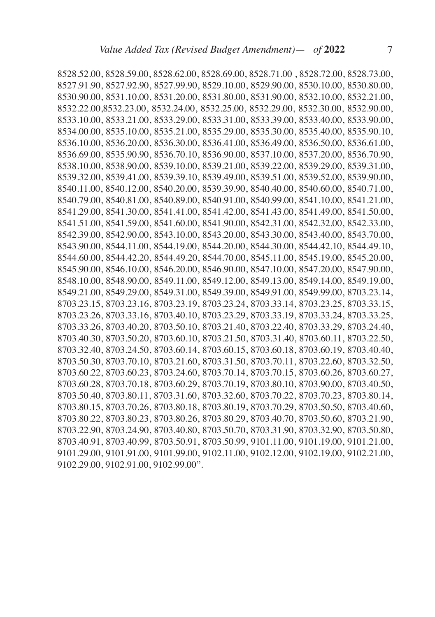8528.52.00, 8528.59.00, 8528.62.00, 8528.69.00, 8528.71.00 , 8528.72.00, 8528.73.00, 8527.91.90, 8527.92.90, 8527.99.90, 8529.10.00, 8529.90.00, 8530.10.00, 8530.80.00, 8530.90.00, 8531.10.00, 8531.20.00, 8531.80.00, 8531.90.00, 8532.10.00, 8532.21.00, 8532.22.00,8532.23.00, 8532.24.00, 8532.25.00, 8532.29.00, 8532.30.00, 8532.90.00, 8533.10.00, 8533.21.00, 8533.29.00, 8533.31.00, 8533.39.00, 8533.40.00, 8533.90.00, 8534.00.00, 8535.10.00, 8535.21.00, 8535.29.00, 8535.30.00, 8535.40.00, 8535.90.10, 8536.10.00, 8536.20.00, 8536.30.00, 8536.41.00, 8536.49.00, 8536.50.00, 8536.61.00, 8536.69.00, 8535.90.90, 8536.70.10, 8536.90.00, 8537.10.00, 8537.20.00, 8536.70.90, 8538.10.00, 8538.90.00, 8539.10.00, 8539.21.00, 8539.22.00, 8539.29.00, 8539.31.00, 8539.32.00, 8539.41.00, 8539.39.10, 8539.49.00, 8539.51.00, 8539.52.00, 8539.90.00, 8540.11.00, 8540.12.00, 8540.20.00, 8539.39.90, 8540.40.00, 8540.60.00, 8540.71.00, 8540.79.00, 8540.81.00, 8540.89.00, 8540.91.00, 8540.99.00, 8541.10.00, 8541.21.00, 8541.29.00, 8541.30.00, 8541.41.00, 8541.42.00, 8541.43.00, 8541.49.00, 8541.50.00, 8541.51.00, 8541.59.00, 8541.60.00, 8541.90.00, 8542.31.00, 8542.32.00, 8542.33.00, 8542.39.00, 8542.90.00, 8543.10.00, 8543.20.00, 8543.30.00, 8543.40.00, 8543.70.00, 8543.90.00, 8544.11.00, 8544.19.00, 8544.20.00, 8544.30.00, 8544.42.10, 8544.49.10, 8544.60.00, 8544.42.20, 8544.49.20, 8544.70.00, 8545.11.00, 8545.19.00, 8545.20.00, 8545.90.00, 8546.10.00, 8546.20.00, 8546.90.00, 8547.10.00, 8547.20.00, 8547.90.00, 8548.10.00, 8548.90.00, 8549.11.00, 8549.12.00, 8549.13.00, 8549.14.00, 8549.19.00, 8549.21.00, 8549.29.00, 8549.31.00, 8549.39.00, 8549.91.00, 8549.99.00, 8703.23.14, 8703.23.15, 8703.23.16, 8703.23.19, 8703.23.24, 8703.33.14, 8703.23.25, 8703.33.15, 8703.23.26, 8703.33.16, 8703.40.10, 8703.23.29, 8703.33.19, 8703.33.24, 8703.33.25, 8703.33.26, 8703.40.20, 8703.50.10, 8703.21.40, 8703.22.40, 8703.33.29, 8703.24.40, 8703.40.30, 8703.50.20, 8703.60.10, 8703.21.50, 8703.31.40, 8703.60.11, 8703.22.50, 8703.32.40, 8703.24.50, 8703.60.14, 8703.60.15, 8703.60.18, 8703.60.19, 8703.40.40, 8703.50.30, 8703.70.10, 8703.21.60, 8703.31.50, 8703.70.11, 8703.22.60, 8703.32.50, 8703.60.22, 8703.60.23, 8703.24.60, 8703.70.14, 8703.70.15, 8703.60.26, 8703.60.27, 8703.60.28, 8703.70.18, 8703.60.29, 8703.70.19, 8703.80.10, 8703.90.00, 8703.40.50, 8703.50.40, 8703.80.11, 8703.31.60, 8703.32.60, 8703.70.22, 8703.70.23, 8703.80.14, 8703.80.15, 8703.70.26, 8703.80.18, 8703.80.19, 8703.70.29, 8703.50.50, 8703.40.60, 8703.80.22, 8703.80.23, 8703.80.26, 8703.80.29, 8703.40.70, 8703.50.60, 8703.21.90, 8703.22.90, 8703.24.90, 8703.40.80, 8703.50.70, 8703.31.90, 8703.32.90, 8703.50.80, 8703.40.91, 8703.40.99, 8703.50.91, 8703.50.99, 9101.11.00, 9101.19.00, 9101.21.00, 9101.29.00, 9101.91.00, 9101.99.00, 9102.11.00, 9102.12.00, 9102.19.00, 9102.21.00, 9102.29.00, 9102.91.00, 9102.99.00".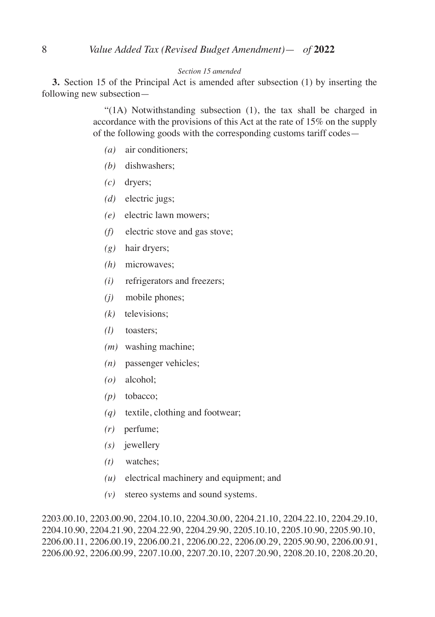#### *Section 15 amended*

**3.** Section 15 of the Principal Act is amended after subsection (1) by inserting the following new subsection—

> "(1A) Notwithstanding subsection (1), the tax shall be charged in accordance with the provisions of this Act at the rate of 15% on the supply of the following goods with the corresponding customs tariff codes—

- *(a)* air conditioners;
- *(b)* dishwashers;
- *(c)* dryers;
- *(d)* electric jugs;
- *(e)* electric lawn mowers;
- *(f)* electric stove and gas stove;
- *(g)* hair dryers;
- *(h)* microwaves;
- *(i)* refrigerators and freezers;
- *(j)* mobile phones;
- *(k)* televisions;
- *(l)* toasters;
- *(m)* washing machine;
- *(n)* passenger vehicles;
- *(o)* alcohol;
- *(p)* tobacco;
- *(q)* textile, clothing and footwear;
- *(r)* perfume;
- *(s)* jewellery
- *(t)* watches;
- *(u)* electrical machinery and equipment; and
- *(v)* stereo systems and sound systems.

2203.00.10, 2203.00.90, 2204.10.10, 2204.30.00, 2204.21.10, 2204.22.10, 2204.29.10, 2204.10.90, 2204.21.90, 2204.22.90, 2204.29.90, 2205.10.10, 2205.10.90, 2205.90.10, 2206.00.11, 2206.00.19, 2206.00.21, 2206.00.22, 2206.00.29, 2205.90.90, 2206.00.91, 2206.00.92, 2206.00.99, 2207.10.00, 2207.20.10, 2207.20.90, 2208.20.10, 2208.20.20,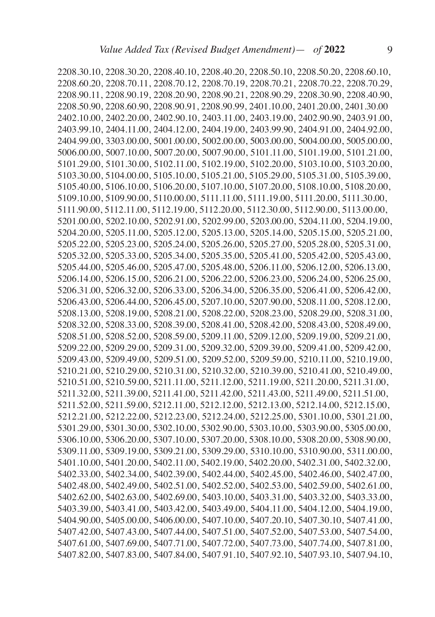2208.30.10, 2208.30.20, 2208.40.10, 2208.40.20, 2208.50.10, 2208.50.20, 2208.60.10, 2208.60.20, 2208.70.11, 2208.70.12, 2208.70.19, 2208.70.21, 2208.70.22, 2208.70.29, 2208.90.11, 2208.90.19, 2208.20.90, 2208.90.21, 2208.90.29, 2208.30.90, 2208.40.90, 2208.50.90, 2208.60.90, 2208.90.91, 2208.90.99, 2401.10.00, 2401.20.00, 2401.30.00 2402.10.00, 2402.20.00, 2402.90.10, 2403.11.00, 2403.19.00, 2402.90.90, 2403.91.00, 2403.99.10, 2404.11.00, 2404.12.00, 2404.19.00, 2403.99.90, 2404.91.00, 2404.92.00, 2404.99.00, 3303.00.00, 5001.00.00, 5002.00.00, 5003.00.00, 5004.00.00, 5005.00.00, 5006.00.00, 5007.10.00, 5007.20.00, 5007.90.00, 5101.11.00, 5101.19.00, 5101.21.00, 5101.29.00, 5101.30.00, 5102.11.00, 5102.19.00, 5102.20.00, 5103.10.00, 5103.20.00, 5103.30.00, 5104.00.00, 5105.10.00, 5105.21.00, 5105.29.00, 5105.31.00, 5105.39.00, 5105.40.00, 5106.10.00, 5106.20.00, 5107.10.00, 5107.20.00, 5108.10.00, 5108.20.00, 5109.10.00, 5109.90.00, 5110.00.00, 5111.11.00, 5111.19.00, 5111.20.00, 5111.30.00, 5111.90.00, 5112.11.00, 5112.19.00, 5112.20.00, 5112.30.00, 5112.90.00, 5113.00.00, 5201.00.00, 5202.10.00, 5202.91.00, 5202.99.00, 5203.00.00, 5204.11.00, 5204.19.00, 5204.20.00, 5205.11.00, 5205.12.00, 5205.13.00, 5205.14.00, 5205.15.00, 5205.21.00, 5205.22.00, 5205.23.00, 5205.24.00, 5205.26.00, 5205.27.00, 5205.28.00, 5205.31.00, 5205.32.00, 5205.33.00, 5205.34.00, 5205.35.00, 5205.41.00, 5205.42.00, 5205.43.00, 5205.44.00, 5205.46.00, 5205.47.00, 5205.48.00, 5206.11.00, 5206.12.00, 5206.13.00, 5206.14.00, 5206.15.00, 5206.21.00, 5206.22.00, 5206.23.00, 5206.24.00, 5206.25.00, 5206.31.00, 5206.32.00, 5206.33.00, 5206.34.00, 5206.35.00, 5206.41.00, 5206.42.00, 5206.43.00, 5206.44.00, 5206.45.00, 5207.10.00, 5207.90.00, 5208.11.00, 5208.12.00, 5208.13.00, 5208.19.00, 5208.21.00, 5208.22.00, 5208.23.00, 5208.29.00, 5208.31.00, 5208.32.00, 5208.33.00, 5208.39.00, 5208.41.00, 5208.42.00, 5208.43.00, 5208.49.00, 5208.51.00, 5208.52.00, 5208.59.00, 5209.11.00, 5209.12.00, 5209.19.00, 5209.21.00, 5209.22.00, 5209.29.00, 5209.31.00, 5209.32.00, 5209.39.00, 5209.41.00, 5209.42.00, 5209.43.00, 5209.49.00, 5209.51.00, 5209.52.00, 5209.59.00, 5210.11.00, 5210.19.00, 5210.21.00, 5210.29.00, 5210.31.00, 5210.32.00, 5210.39.00, 5210.41.00, 5210.49.00, 5210.51.00, 5210.59.00, 5211.11.00, 5211.12.00, 5211.19.00, 5211.20.00, 5211.31.00, 5211.32.00, 5211.39.00, 5211.41.00, 5211.42.00, 5211.43.00, 5211.49.00, 5211.51.00, 5211.52.00, 5211.59.00, 5212.11.00, 5212.12.00, 5212.13.00, 5212.14.00, 5212.15.00, 5212.21.00, 5212.22.00, 5212.23.00, 5212.24.00, 5212.25.00, 5301.10.00, 5301.21.00, 5301.29.00, 5301.30.00, 5302.10.00, 5302.90.00, 5303.10.00, 5303.90.00, 5305.00.00, 5306.10.00, 5306.20.00, 5307.10.00, 5307.20.00, 5308.10.00, 5308.20.00, 5308.90.00, 5309.11.00, 5309.19.00, 5309.21.00, 5309.29.00, 5310.10.00, 5310.90.00, 5311.00.00, 5401.10.00, 5401.20.00, 5402.11.00, 5402.19.00, 5402.20.00, 5402.31.00, 5402.32.00, 5402.33.00, 5402.34.00, 5402.39.00, 5402.44.00, 5402.45.00, 5402.46.00, 5402.47.00, 5402.48.00, 5402.49.00, 5402.51.00, 5402.52.00, 5402.53.00, 5402.59.00, 5402.61.00, 5402.62.00, 5402.63.00, 5402.69.00, 5403.10.00, 5403.31.00, 5403.32.00, 5403.33.00, 5403.39.00, 5403.41.00, 5403.42.00, 5403.49.00, 5404.11.00, 5404.12.00, 5404.19.00, 5404.90.00, 5405.00.00, 5406.00.00, 5407.10.00, 5407.20.10, 5407.30.10, 5407.41.00, 5407.42.00, 5407.43.00, 5407.44.00, 5407.51.00, 5407.52.00, 5407.53.00, 5407.54.00, 5407.61.00, 5407.69.00, 5407.71.00, 5407.72.00, 5407.73.00, 5407.74.00, 5407.81.00, 5407.82.00, 5407.83.00, 5407.84.00, 5407.91.10, 5407.92.10, 5407.93.10, 5407.94.10,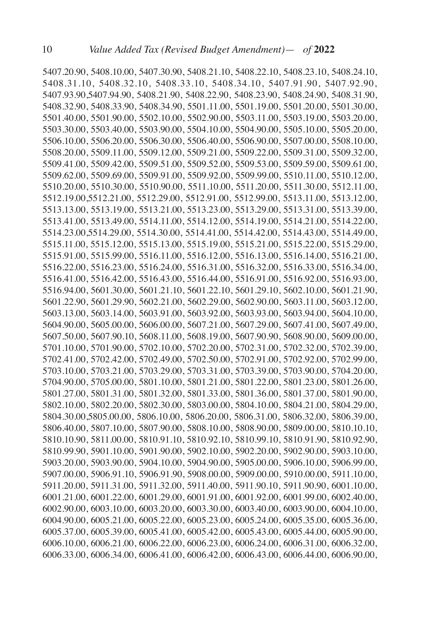5407.20.90, 5408.10.00, 5407.30.90, 5408.21.10, 5408.22.10, 5408.23.10, 5408.24.10, 5408.31.10, 5408.32.10, 5408.33.10, 5408.34.10, 5407.91.90, 5407.92.90, 5407.93.90,5407.94.90, 5408.21.90, 5408.22.90, 5408.23.90, 5408.24.90, 5408.31.90, 5408.32.90, 5408.33.90, 5408.34.90, 5501.11.00, 5501.19.00, 5501.20.00, 5501.30.00, 5501.40.00, 5501.90.00, 5502.10.00, 5502.90.00, 5503.11.00, 5503.19.00, 5503.20.00, 5503.30.00, 5503.40.00, 5503.90.00, 5504.10.00, 5504.90.00, 5505.10.00, 5505.20.00, 5506.10.00, 5506.20.00, 5506.30.00, 5506.40.00, 5506.90.00, 5507.00.00, 5508.10.00, 5508.20.00, 5509.11.00, 5509.12.00, 5509.21.00, 5509.22.00, 5509.31.00, 5509.32.00, 5509.41.00, 5509.42.00, 5509.51.00, 5509.52.00, 5509.53.00, 5509.59.00, 5509.61.00, 5509.62.00, 5509.69.00, 5509.91.00, 5509.92.00, 5509.99.00, 5510.11.00, 5510.12.00, 5510.20.00, 5510.30.00, 5510.90.00, 5511.10.00, 5511.20.00, 5511.30.00, 5512.11.00, 5512.19.00,5512.21.00, 5512.29.00, 5512.91.00, 5512.99.00, 5513.11.00, 5513.12.00, 5513.13.00, 5513.19.00, 5513.21.00, 5513.23.00, 5513.29.00, 5513.31.00, 5513.39.00, 5513.41.00, 5513.49.00, 5514.11.00, 5514.12.00, 5514.19.00, 5514.21.00, 5514.22.00, 5514.23.00,5514.29.00, 5514.30.00, 5514.41.00, 5514.42.00, 5514.43.00, 5514.49.00, 5515.11.00, 5515.12.00, 5515.13.00, 5515.19.00, 5515.21.00, 5515.22.00, 5515.29.00, 5515.91.00, 5515.99.00, 5516.11.00, 5516.12.00, 5516.13.00, 5516.14.00, 5516.21.00, 5516.22.00, 5516.23.00, 5516.24.00, 5516.31.00, 5516.32.00, 5516.33.00, 5516.34.00, 5516.41.00, 5516.42.00, 5516.43.00, 5516.44.00, 5516.91.00, 5516.92.00, 5516.93.00, 5516.94.00, 5601.30.00, 5601.21.10, 5601.22.10, 5601.29.10, 5602.10.00, 5601.21.90, 5601.22.90, 5601.29.90, 5602.21.00, 5602.29.00, 5602.90.00, 5603.11.00, 5603.12.00, 5603.13.00, 5603.14.00, 5603.91.00, 5603.92.00, 5603.93.00, 5603.94.00, 5604.10.00, 5604.90.00, 5605.00.00, 5606.00.00, 5607.21.00, 5607.29.00, 5607.41.00, 5607.49.00, 5607.50.00, 5607.90.10, 5608.11.00, 5608.19.00, 5607.90.90, 5608.90.00, 5609.00.00, 5701.10.00, 5701.90.00, 5702.10.00, 5702.20.00, 5702.31.00, 5702.32.00, 5702.39.00, 5702.41.00, 5702.42.00, 5702.49.00, 5702.50.00, 5702.91.00, 5702.92.00, 5702.99.00, 5703.10.00, 5703.21.00, 5703.29.00, 5703.31.00, 5703.39.00, 5703.90.00, 5704.20.00, 5704.90.00, 5705.00.00, 5801.10.00, 5801.21.00, 5801.22.00, 5801.23.00, 5801.26.00, 5801.27.00, 5801.31.00, 5801.32.00, 5801.33.00, 5801.36.00, 5801.37.00, 5801.90.00, 5802.10.00, 5802.20.00, 5802.30.00, 5803.00.00, 5804.10.00, 5804.21.00, 5804.29.00, 5804.30.00,5805.00.00, 5806.10.00, 5806.20.00, 5806.31.00, 5806.32.00, 5806.39.00, 5806.40.00, 5807.10.00, 5807.90.00, 5808.10.00, 5808.90.00, 5809.00.00, 5810.10.10, 5810.10.90, 5811.00.00, 5810.91.10, 5810.92.10, 5810.99.10, 5810.91.90, 5810.92.90, 5810.99.90, 5901.10.00, 5901.90.00, 5902.10.00, 5902.20.00, 5902.90.00, 5903.10.00, 5903.20.00, 5903.90.00, 5904.10.00, 5904.90.00, 5905.00.00, 5906.10.00, 5906.99.00, 5907.00.00, 5906.91.10, 5906.91.90, 5908.00.00, 5909.00.00, 5910.00.00, 5911.10.00, 5911.20.00, 5911.31.00, 5911.32.00, 5911.40.00, 5911.90.10, 5911.90.90, 6001.10.00, 6001.21.00, 6001.22.00, 6001.29.00, 6001.91.00, 6001.92.00, 6001.99.00, 6002.40.00, 6002.90.00, 6003.10.00, 6003.20.00, 6003.30.00, 6003.40.00, 6003.90.00, 6004.10.00, 6004.90.00, 6005.21.00, 6005.22.00, 6005.23.00, 6005.24.00, 6005.35.00, 6005.36.00, 6005.37.00, 6005.39.00, 6005.41.00, 6005.42.00, 6005.43.00, 6005.44.00, 6005.90.00, 6006.10.00, 6006.21.00, 6006.22.00, 6006.23.00, 6006.24.00, 6006.31.00, 6006.32.00, 6006.33.00, 6006.34.00, 6006.41.00, 6006.42.00, 6006.43.00, 6006.44.00, 6006.90.00,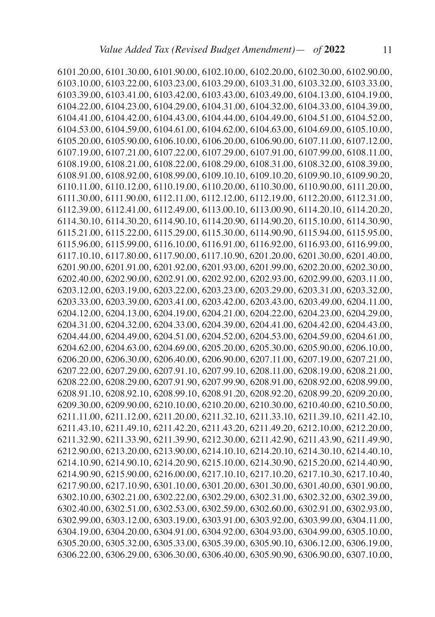6101.20.00, 6101.30.00, 6101.90.00, 6102.10.00, 6102.20.00, 6102.30.00, 6102.90.00, 6103.10.00, 6103.22.00, 6103.23.00, 6103.29.00, 6103.31.00, 6103.32.00, 6103.33.00, 6103.39.00, 6103.41.00, 6103.42.00, 6103.43.00, 6103.49.00, 6104.13.00, 6104.19.00, 6104.22.00, 6104.23.00, 6104.29.00, 6104.31.00, 6104.32.00, 6104.33.00, 6104.39.00, 6104.41.00, 6104.42.00, 6104.43.00, 6104.44.00, 6104.49.00, 6104.51.00, 6104.52.00, 6104.53.00, 6104.59.00, 6104.61.00, 6104.62.00, 6104.63.00, 6104.69.00, 6105.10.00, 6105.20.00, 6105.90.00, 6106.10.00, 6106.20.00, 6106.90.00, 6107.11.00, 6107.12.00, 6107.19.00, 6107.21.00, 6107.22.00, 6107.29.00, 6107.91.00, 6107.99.00, 6108.11.00, 6108.19.00, 6108.21.00, 6108.22.00, 6108.29.00, 6108.31.00, 6108.32.00, 6108.39.00, 6108.91.00, 6108.92.00, 6108.99.00, 6109.10.10, 6109.10.20, 6109.90.10, 6109.90.20, 6110.11.00, 6110.12.00, 6110.19.00, 6110.20.00, 6110.30.00, 6110.90.00, 6111.20.00, 6111.30.00, 6111.90.00, 6112.11.00, 6112.12.00, 6112.19.00, 6112.20.00, 6112.31.00, 6112.39.00, 6112.41.00, 6112.49.00, 6113.00.10, 6113.00.90, 6114.20.10, 6114.20.20, 6114.30.10, 6114.30.20, 6114.90.10, 6114.20.90, 6114.90.20, 6115.10.00, 6114.30.90, 6115.21.00, 6115.22.00, 6115.29.00, 6115.30.00, 6114.90.90, 6115.94.00, 6115.95.00, 6115.96.00, 6115.99.00, 6116.10.00, 6116.91.00, 6116.92.00, 6116.93.00, 6116.99.00, 6117.10.10, 6117.80.00, 6117.90.00, 6117.10.90, 6201.20.00, 6201.30.00, 6201.40.00, 6201.90.00, 6201.91.00, 6201.92.00, 6201.93.00, 6201.99.00, 6202.20.00, 6202.30.00, 6202.40.00, 6202.90.00, 6202.91.00, 6202.92.00, 6202.93.00, 6202.99.00, 6203.11.00, 6203.12.00, 6203.19.00, 6203.22.00, 6203.23.00, 6203.29.00, 6203.31.00, 6203.32.00, 6203.33.00, 6203.39.00, 6203.41.00, 6203.42.00, 6203.43.00, 6203.49.00, 6204.11.00, 6204.12.00, 6204.13.00, 6204.19.00, 6204.21.00, 6204.22.00, 6204.23.00, 6204.29.00, 6204.31.00, 6204.32.00, 6204.33.00, 6204.39.00, 6204.41.00, 6204.42.00, 6204.43.00, 6204.44.00, 6204.49.00, 6204.51.00, 6204.52.00, 6204.53.00, 6204.59.00, 6204.61.00, 6204.62.00, 6204.63.00, 6204.69.00, 6205.20.00, 6205.30.00, 6205.90.00, 6206.10.00, 6206.20.00, 6206.30.00, 6206.40.00, 6206.90.00, 6207.11.00, 6207.19.00, 6207.21.00, 6207.22.00, 6207.29.00, 6207.91.10, 6207.99.10, 6208.11.00, 6208.19.00, 6208.21.00, 6208.22.00, 6208.29.00, 6207.91.90, 6207.99.90, 6208.91.00, 6208.92.00, 6208.99.00, 6208.91.10, 6208.92.10, 6208.99.10, 6208.91.20, 6208.92.20, 6208.99.20, 6209.20.00, 6209.30.00, 6209.90.00, 6210.10.00, 6210.20.00, 6210.30.00, 6210.40.00, 6210.50.00, 6211.11.00, 6211.12.00, 6211.20.00, 6211.32.10, 6211.33.10, 6211.39.10, 6211.42.10, 6211.43.10, 6211.49.10, 6211.42.20, 6211.43.20, 6211.49.20, 6212.10.00, 6212.20.00, 6211.32.90, 6211.33.90, 6211.39.90, 6212.30.00, 6211.42.90, 6211.43.90, 6211.49.90, 6212.90.00, 6213.20.00, 6213.90.00, 6214.10.10, 6214.20.10, 6214.30.10, 6214.40.10, 6214.10.90, 6214.90.10, 6214.20.90, 6215.10.00, 6214.30.90, 6215.20.00, 6214.40.90, 6214.90.90, 6215.90.00, 6216.00.00, 6217.10.10, 6217.10.20, 6217.10.30, 6217.10.40, 6217.90.00, 6217.10.90, 6301.10.00, 6301.20.00, 6301.30.00, 6301.40.00, 6301.90.00, 6302.10.00, 6302.21.00, 6302.22.00, 6302.29.00, 6302.31.00, 6302.32.00, 6302.39.00, 6302.40.00, 6302.51.00, 6302.53.00, 6302.59.00, 6302.60.00, 6302.91.00, 6302.93.00, 6302.99.00, 6303.12.00, 6303.19.00, 6303.91.00, 6303.92.00, 6303.99.00, 6304.11.00, 6304.19.00, 6304.20.00, 6304.91.00, 6304.92.00, 6304.93.00, 6304.99.00, 6305.10.00, 6305.20.00, 6305.32.00, 6305.33.00, 6305.39.00, 6305.90.10, 6306.12.00, 6306.19.00, 6306.22.00, 6306.29.00, 6306.30.00, 6306.40.00, 6305.90.90, 6306.90.00, 6307.10.00,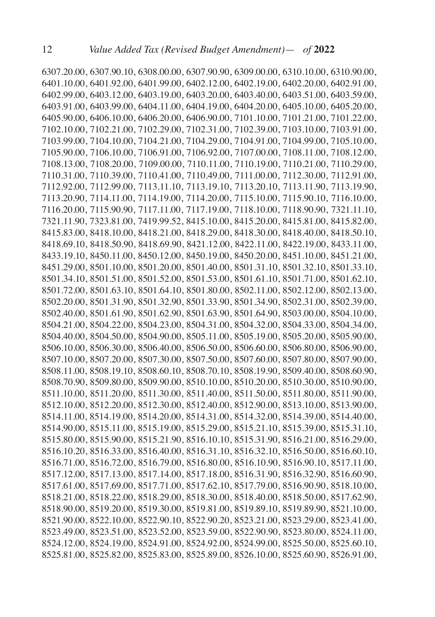6307.20.00, 6307.90.10, 6308.00.00, 6307.90.90, 6309.00.00, 6310.10.00, 6310.90.00, 6401.10.00, 6401.92.00, 6401.99.00, 6402.12.00, 6402.19.00, 6402.20.00, 6402.91.00, 6402.99.00, 6403.12.00, 6403.19.00, 6403.20.00, 6403.40.00, 6403.51.00, 6403.59.00, 6403.91.00, 6403.99.00, 6404.11.00, 6404.19.00, 6404.20.00, 6405.10.00, 6405.20.00, 6405.90.00, 6406.10.00, 6406.20.00, 6406.90.00, 7101.10.00, 7101.21.00, 7101.22.00, 7102.10.00, 7102.21.00, 7102.29.00, 7102.31.00, 7102.39.00, 7103.10.00, 7103.91.00, 7103.99.00, 7104.10.00, 7104.21.00, 7104.29.00, 7104.91.00, 7104.99.00, 7105.10.00, 7105.90.00, 7106.10.00, 7106.91.00, 7106.92.00, 7107.00.00, 7108.11.00, 7108.12.00, 7108.13.00, 7108.20.00, 7109.00.00, 7110.11.00, 7110.19.00, 7110.21.00, 7110.29.00, 7110.31.00, 7110.39.00, 7110.41.00, 7110.49.00, 7111.00.00, 7112.30.00, 7112.91.00, 7112.92.00, 7112.99.00, 7113.11.10, 7113.19.10, 7113.20.10, 7113.11.90, 7113.19.90, 7113.20.90, 7114.11.00, 7114.19.00, 7114.20.00, 7115.10.00, 7115.90.10, 7116.10.00, 7116.20.00, 7115.90.90, 7117.11.00, 7117.19.00, 7118.10.00, 7118.90.90, 7321.11.10, 7321.11.90, 7323.81.00, 7419.99.52, 8415.10.00, 8415.20.00, 8415.81.00, 8415.82.00, 8415.83.00, 8418.10.00, 8418.21.00, 8418.29.00, 8418.30.00, 8418.40.00, 8418.50.10, 8418.69.10, 8418.50.90, 8418.69.90, 8421.12.00, 8422.11.00, 8422.19.00, 8433.11.00, 8433.19.10, 8450.11.00, 8450.12.00, 8450.19.00, 8450.20.00, 8451.10.00, 8451.21.00, 8451.29.00, 8501.10.00, 8501.20.00, 8501.40.00, 8501.31.10, 8501.32.10, 8501.33.10, 8501.34.10, 8501.51.00, 8501.52.00, 8501.53.00, 8501.61.10, 8501.71.00, 8501.62.10, 8501.72.00, 8501.63.10, 8501.64.10, 8501.80.00, 8502.11.00, 8502.12.00, 8502.13.00, 8502.20.00, 8501.31.90, 8501.32.90, 8501.33.90, 8501.34.90, 8502.31.00, 8502.39.00, 8502.40.00, 8501.61.90, 8501.62.90, 8501.63.90, 8501.64.90, 8503.00.00, 8504.10.00, 8504.21.00, 8504.22.00, 8504.23.00, 8504.31.00, 8504.32.00, 8504.33.00, 8504.34.00, 8504.40.00, 8504.50.00, 8504.90.00, 8505.11.00, 8505.19.00, 8505.20.00, 8505.90.00, 8506.10.00, 8506.30.00, 8506.40.00, 8506.50.00, 8506.60.00, 8506.80.00, 8506.90.00, 8507.10.00, 8507.20.00, 8507.30.00, 8507.50.00, 8507.60.00, 8507.80.00, 8507.90.00, 8508.11.00, 8508.19.10, 8508.60.10, 8508.70.10, 8508.19.90, 8509.40.00, 8508.60.90, 8508.70.90, 8509.80.00, 8509.90.00, 8510.10.00, 8510.20.00, 8510.30.00, 8510.90.00, 8511.10.00, 8511.20.00, 8511.30.00, 8511.40.00, 8511.50.00, 8511.80.00, 8511.90.00, 8512.10.00, 8512.20.00, 8512.30.00, 8512.40.00, 8512.90.00, 8513.10.00, 8513.90.00, 8514.11.00, 8514.19.00, 8514.20.00, 8514.31.00, 8514.32.00, 8514.39.00, 8514.40.00, 8514.90.00, 8515.11.00, 8515.19.00, 8515.29.00, 8515.21.10, 8515.39.00, 8515.31.10, 8515.80.00, 8515.90.00, 8515.21.90, 8516.10.10, 8515.31.90, 8516.21.00, 8516.29.00, 8516.10.20, 8516.33.00, 8516.40.00, 8516.31.10, 8516.32.10, 8516.50.00, 8516.60.10, 8516.71.00, 8516.72.00, 8516.79.00, 8516.80.00, 8516.10.90, 8516.90.10, 8517.11.00, 8517.12.00, 8517.13.00, 8517.14.00, 8517.18.00, 8516.31.90, 8516.32.90, 8516.60.90, 8517.61.00, 8517.69.00, 8517.71.00, 8517.62.10, 8517.79.00, 8516.90.90, 8518.10.00, 8518.21.00, 8518.22.00, 8518.29.00, 8518.30.00, 8518.40.00, 8518.50.00, 8517.62.90, 8518.90.00, 8519.20.00, 8519.30.00, 8519.81.00, 8519.89.10, 8519.89.90, 8521.10.00, 8521.90.00, 8522.10.00, 8522.90.10, 8522.90.20, 8523.21.00, 8523.29.00, 8523.41.00, 8523.49.00, 8523.51.00, 8523.52.00, 8523.59.00, 8522.90.90, 8523.80.00, 8524.11.00, 8524.12.00, 8524.19.00, 8524.91.00, 8524.92.00, 8524.99.00, 8525.50.00, 8525.60.10, 8525.81.00, 8525.82.00, 8525.83.00, 8525.89.00, 8526.10.00, 8525.60.90, 8526.91.00,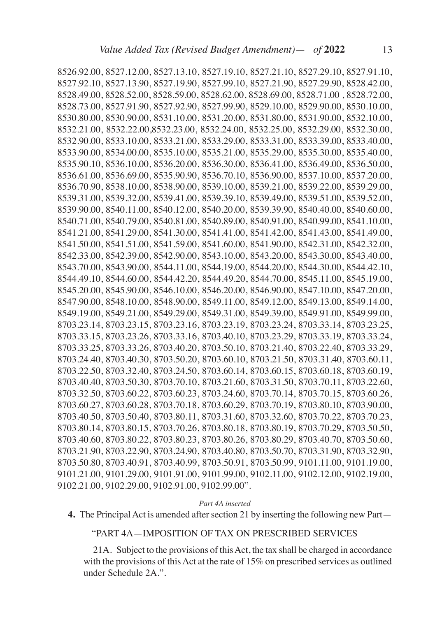8526.92.00, 8527.12.00, 8527.13.10, 8527.19.10, 8527.21.10, 8527.29.10, 8527.91.10, 8527.92.10, 8527.13.90, 8527.19.90, 8527.99.10, 8527.21.90, 8527.29.90, 8528.42.00, 8528.49.00, 8528.52.00, 8528.59.00, 8528.62.00, 8528.69.00, 8528.71.00 , 8528.72.00, 8528.73.00, 8527.91.90, 8527.92.90, 8527.99.90, 8529.10.00, 8529.90.00, 8530.10.00, 8530.80.00, 8530.90.00, 8531.10.00, 8531.20.00, 8531.80.00, 8531.90.00, 8532.10.00, 8532.21.00, 8532.22.00,8532.23.00, 8532.24.00, 8532.25.00, 8532.29.00, 8532.30.00, 8532.90.00, 8533.10.00, 8533.21.00, 8533.29.00, 8533.31.00, 8533.39.00, 8533.40.00, 8533.90.00, 8534.00.00, 8535.10.00, 8535.21.00, 8535.29.00, 8535.30.00, 8535.40.00, 8535.90.10, 8536.10.00, 8536.20.00, 8536.30.00, 8536.41.00, 8536.49.00, 8536.50.00, 8536.61.00, 8536.69.00, 8535.90.90, 8536.70.10, 8536.90.00, 8537.10.00, 8537.20.00, 8536.70.90, 8538.10.00, 8538.90.00, 8539.10.00, 8539.21.00, 8539.22.00, 8539.29.00, 8539.31.00, 8539.32.00, 8539.41.00, 8539.39.10, 8539.49.00, 8539.51.00, 8539.52.00, 8539.90.00, 8540.11.00, 8540.12.00, 8540.20.00, 8539.39.90, 8540.40.00, 8540.60.00, 8540.71.00, 8540.79.00, 8540.81.00, 8540.89.00, 8540.91.00, 8540.99.00, 8541.10.00, 8541.21.00, 8541.29.00, 8541.30.00, 8541.41.00, 8541.42.00, 8541.43.00, 8541.49.00, 8541.50.00, 8541.51.00, 8541.59.00, 8541.60.00, 8541.90.00, 8542.31.00, 8542.32.00, 8542.33.00, 8542.39.00, 8542.90.00, 8543.10.00, 8543.20.00, 8543.30.00, 8543.40.00, 8543.70.00, 8543.90.00, 8544.11.00, 8544.19.00, 8544.20.00, 8544.30.00, 8544.42.10, 8544.49.10, 8544.60.00, 8544.42.20, 8544.49.20, 8544.70.00, 8545.11.00, 8545.19.00, 8545.20.00, 8545.90.00, 8546.10.00, 8546.20.00, 8546.90.00, 8547.10.00, 8547.20.00, 8547.90.00, 8548.10.00, 8548.90.00, 8549.11.00, 8549.12.00, 8549.13.00, 8549.14.00, 8549.19.00, 8549.21.00, 8549.29.00, 8549.31.00, 8549.39.00, 8549.91.00, 8549.99.00, 8703.23.14, 8703.23.15, 8703.23.16, 8703.23.19, 8703.23.24, 8703.33.14, 8703.23.25, 8703.33.15, 8703.23.26, 8703.33.16, 8703.40.10, 8703.23.29, 8703.33.19, 8703.33.24, 8703.33.25, 8703.33.26, 8703.40.20, 8703.50.10, 8703.21.40, 8703.22.40, 8703.33.29, 8703.24.40, 8703.40.30, 8703.50.20, 8703.60.10, 8703.21.50, 8703.31.40, 8703.60.11, 8703.22.50, 8703.32.40, 8703.24.50, 8703.60.14, 8703.60.15, 8703.60.18, 8703.60.19, 8703.40.40, 8703.50.30, 8703.70.10, 8703.21.60, 8703.31.50, 8703.70.11, 8703.22.60, 8703.32.50, 8703.60.22, 8703.60.23, 8703.24.60, 8703.70.14, 8703.70.15, 8703.60.26, 8703.60.27, 8703.60.28, 8703.70.18, 8703.60.29, 8703.70.19, 8703.80.10, 8703.90.00, 8703.40.50, 8703.50.40, 8703.80.11, 8703.31.60, 8703.32.60, 8703.70.22, 8703.70.23, 8703.80.14, 8703.80.15, 8703.70.26, 8703.80.18, 8703.80.19, 8703.70.29, 8703.50.50, 8703.40.60, 8703.80.22, 8703.80.23, 8703.80.26, 8703.80.29, 8703.40.70, 8703.50.60, 8703.21.90, 8703.22.90, 8703.24.90, 8703.40.80, 8703.50.70, 8703.31.90, 8703.32.90, 8703.50.80, 8703.40.91, 8703.40.99, 8703.50.91, 8703.50.99, 9101.11.00, 9101.19.00, 9101.21.00, 9101.29.00, 9101.91.00, 9101.99.00, 9102.11.00, 9102.12.00, 9102.19.00, 9102.21.00, 9102.29.00, 9102.91.00, 9102.99.00".

#### *Part 4A inserted*

**4.** The Principal Act is amended after section 21 by inserting the following new Part—

#### "PART 4A—IMPOSITION OF TAX ON PRESCRIBED SERVICES

 21A. Subject to the provisions of this Act, the tax shall be charged in accordance with the provisions of this Act at the rate of 15% on prescribed services as outlined under Schedule 2A.".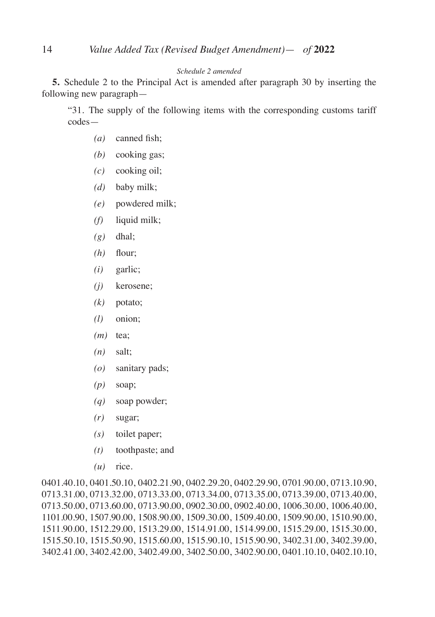### *Schedule 2 amended*

**5.** Schedule 2 to the Principal Act is amended after paragraph 30 by inserting the following new paragraph—

"31. The supply of the following items with the corresponding customs tariff codes—

- *(a)* canned fish;
- *(b)* cooking gas;
- *(c)* cooking oil;
- *(d)* baby milk;
- *(e)* powdered milk;
- *(f)* liquid milk;
- *(g)* dhal;
- *(h)* flour;
- *(i)* garlic;
- *(j)* kerosene;
- *(k)* potato;
- *(l)* onion;
- *(m)* tea;
- *(n)* salt;
- *(o)* sanitary pads;
- *(p)* soap;
- *(q)* soap powder;
- *(r)* sugar;
- *(s)* toilet paper;
- *(t)* toothpaste; and
- *(u)* rice.

0401.40.10, 0401.50.10, 0402.21.90, 0402.29.20, 0402.29.90, 0701.90.00, 0713.10.90, 0713.31.00, 0713.32.00, 0713.33.00, 0713.34.00, 0713.35.00, 0713.39.00, 0713.40.00, 0713.50.00, 0713.60.00, 0713.90.00, 0902.30.00, 0902.40.00, 1006.30.00, 1006.40.00, 1101.00.90, 1507.90.00, 1508.90.00, 1509.30.00, 1509.40.00, 1509.90.00, 1510.90.00, 1511.90.00, 1512.29.00, 1513.29.00, 1514.91.00, 1514.99.00, 1515.29.00, 1515.30.00, 1515.50.10, 1515.50.90, 1515.60.00, 1515.90.10, 1515.90.90, 3402.31.00, 3402.39.00, 3402.41.00, 3402.42.00, 3402.49.00, 3402.50.00, 3402.90.00, 0401.10.10, 0402.10.10,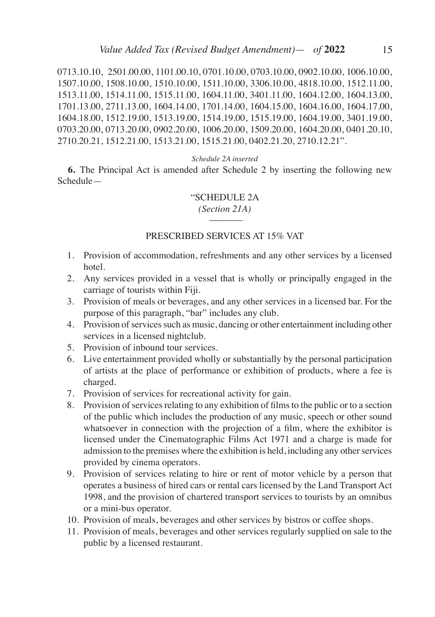0713.10.10, 2501.00.00, 1101.00.10, 0701.10.00, 0703.10.00, 0902.10.00, 1006.10.00, 1507.10.00, 1508.10.00, 1510.10.00, 1511.10.00, 3306.10.00, 4818.10.00, 1512.11.00, 1513.11.00, 1514.11.00, 1515.11.00, 1604.11.00, 3401.11.00, 1604.12.00, 1604.13.00, 1701.13.00, 2711.13.00, 1604.14.00, 1701.14.00, 1604.15.00, 1604.16.00, 1604.17.00, 1604.18.00, 1512.19.00, 1513.19.00, 1514.19.00, 1515.19.00, 1604.19.00, 3401.19.00, 0703.20.00, 0713.20.00, 0902.20.00, 1006.20.00, 1509.20.00, 1604.20.00, 0401.20.10, 2710.20.21, 1512.21.00, 1513.21.00, 1515.21.00, 0402.21.20, 2710.12.21".

#### *Schedule 2A inserted*

**6.** The Principal Act is amended after Schedule 2 by inserting the following new Schedule—

#### "SCHEDULE 2A

*(Section 21A)* \_\_\_\_\_\_\_

#### PRESCRIBED SERVICES AT 15% VAT

- 1. Provision of accommodation, refreshments and any other services by a licensed hotel.
- 2. Any services provided in a vessel that is wholly or principally engaged in the carriage of tourists within Fiji.
- 3. Provision of meals or beverages, and any other services in a licensed bar. For the purpose of this paragraph, "bar" includes any club.
- 4. Provision of services such as music, dancing or other entertainment including other services in a licensed nightclub.
- 5. Provision of inbound tour services.
- 6. Live entertainment provided wholly or substantially by the personal participation of artists at the place of performance or exhibition of products, where a fee is charged.
- 7. Provision of services for recreational activity for gain.
- 8. Provision of services relating to any exhibition of films to the public or to a section of the public which includes the production of any music, speech or other sound whatsoever in connection with the projection of a film, where the exhibitor is licensed under the Cinematographic Films Act 1971 and a charge is made for admission to the premises where the exhibition is held, including any other services provided by cinema operators.
- 9. Provision of services relating to hire or rent of motor vehicle by a person that operates a business of hired cars or rental cars licensed by the Land Transport Act 1998, and the provision of chartered transport services to tourists by an omnibus or a mini-bus operator.
- 10. Provision of meals, beverages and other services by bistros or coffee shops.
- 11. Provision of meals, beverages and other services regularly supplied on sale to the public by a licensed restaurant.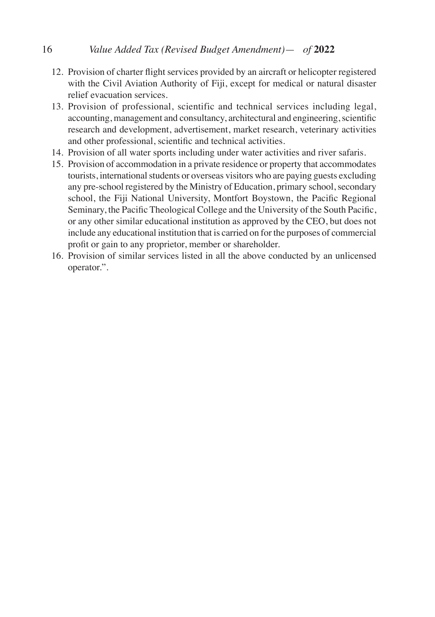# 16 *Value Added Tax (Revised Budget Amendment)*— *of* **2022**

- 12. Provision of charter flight services provided by an aircraft or helicopter registered with the Civil Aviation Authority of Fiji, except for medical or natural disaster relief evacuation services.
- 13. Provision of professional, scientific and technical services including legal, accounting, management and consultancy, architectural and engineering, scientific research and development, advertisement, market research, veterinary activities and other professional, scientific and technical activities.
- 14. Provision of all water sports including under water activities and river safaris.
- 15. Provision of accommodation in a private residence or property that accommodates tourists, international students or overseas visitors who are paying guests excluding any pre-school registered by the Ministry of Education, primary school, secondary school, the Fiji National University, Montfort Boystown, the Pacific Regional Seminary, the Pacific Theological College and the University of the South Pacific, or any other similar educational institution as approved by the CEO, but does not include any educational institution that is carried on for the purposes of commercial profit or gain to any proprietor, member or shareholder.
- 16. Provision of similar services listed in all the above conducted by an unlicensed operator.".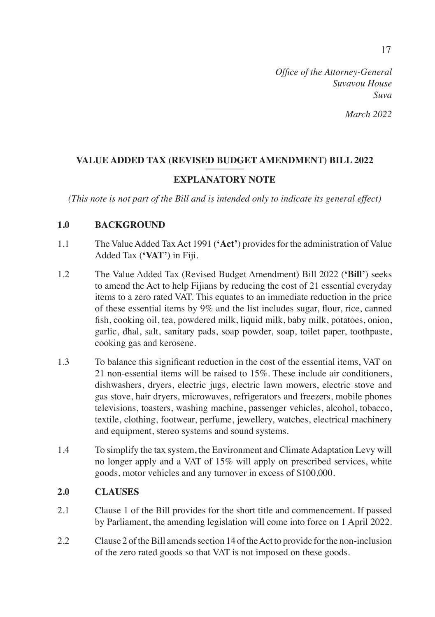## *March 2022*

# VALUE ADDED TAX (REVISED BUDGET AMENDMENT) BILL 2022 **EXPLANATORY NOTE**

*(This note is not part of the Bill and is intended only to indicate its general effect)*

## **1.0 BACKGROUND**

- 1.1 The Value Added Tax Act 1991 (**'Act'**) provides for the administration of Value Added Tax (**'VAT')** in Fiji.
- 1.2 The Value Added Tax (Revised Budget Amendment) Bill 2022 (**'Bill'**) seeks to amend the Act to help Fijians by reducing the cost of 21 essential everyday items to a zero rated VAT. This equates to an immediate reduction in the price of these essential items by 9% and the list includes sugar, flour, rice, canned fish, cooking oil, tea, powdered milk, liquid milk, baby milk, potatoes, onion, garlic, dhal, salt, sanitary pads, soap powder, soap, toilet paper, toothpaste, cooking gas and kerosene.
- 1.3 To balance this significant reduction in the cost of the essential items, VAT on 21 non-essential items will be raised to 15%. These include air conditioners, dishwashers, dryers, electric jugs, electric lawn mowers, electric stove and gas stove, hair dryers, microwaves, refrigerators and freezers, mobile phones televisions, toasters, washing machine, passenger vehicles, alcohol, tobacco, textile, clothing, footwear, perfume, jewellery, watches, electrical machinery and equipment, stereo systems and sound systems.
- 1.4 To simplify the tax system, the Environment and Climate Adaptation Levy will no longer apply and a VAT of 15% will apply on prescribed services, white goods, motor vehicles and any turnover in excess of \$100,000.

### **2.0 CLAUSES**

- 2.1 Clause 1 of the Bill provides for the short title and commencement. If passed by Parliament, the amending legislation will come into force on 1 April 2022.
- 2.2 Clause 2 of the Bill amends section 14 of the Act to provide for the non-inclusion of the zero rated goods so that VAT is not imposed on these goods.